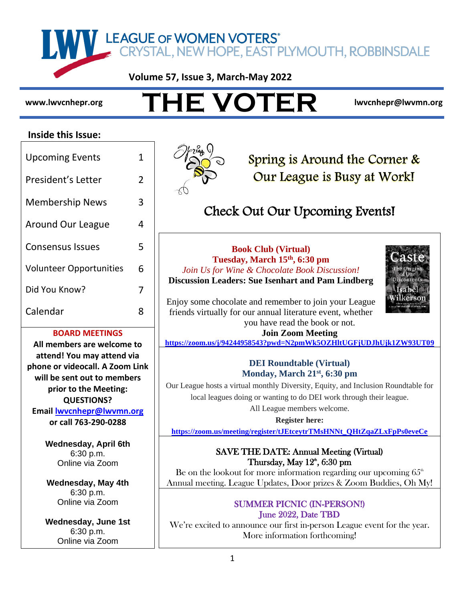IN ALLEAGUE OF WOMEN VOTERS"<br>CRYSTAL, NEW HOPE, EAST PLYMOUTH, ROBBINSDALE

**Volume 57, Issue 3, March-May 2022**

# WWW.IWVCnhepr.org THE VOTER IWVCnhepr@lwvmn.org

#### **Inside this Issue:**

| <b>Upcoming Events</b>         |   |  |
|--------------------------------|---|--|
| President's Letter             |   |  |
| <b>Membership News</b>         | 3 |  |
| Around Our League              |   |  |
| Consensus Issues               |   |  |
| <b>Volunteer Opportunities</b> | 6 |  |
| Did You Know?                  |   |  |
| Calendar                       |   |  |

#### **BOARD MEETINGS**

**All members are welcome to attend! You may attend via phone or videocall. A Zoom Link will be sent out to members prior to the Meeting: QUESTIONS? Email <lwvcnhepr@lwvmn.org> or call 763-290-0288**

> **Wednesday, April 6th** 6:30 p.m. Online via Zoom

**Wednesday, May 4th** 6:30 p.m. Online via Zoom

**Wednesday, June 1st** 6:30 p.m. Online via Zoom



Spring is Around the Corner & Our League is Busy at Work!

## Check Out Our Upcoming Events!

**Book Club (Virtual) Tuesday, March 15th, 6:30 pm** *Join Us for Wine & Chocolate Book Discussion!* **Discussion Leaders: Sue Isenhart and Pam Lindberg**



Enjoy some chocolate and remember to join your League friends virtually for our annual literature event, whether you have read the book or not.

## **Join Zoom Meeting**

**<https://zoom.us/j/94244958543?pwd=N2pmWk5OZHltUGFjUDJhUjk1ZW93UT09>**

#### **DEI Roundtable (Virtual) Monday, March 21st, 6:30 pm**

Our League hosts a virtual monthly Diversity, Equity, and Inclusion Roundtable for local leagues doing or wanting to do DEI work through their league.

All League members welcome.

#### **Register here:**

**[https://zoom.us/meeting/register/tJEtceytrTMsHNNt\\_QHtZqaZLxFpPs0eveCe](https://zoom.us/meeting/register/tJEtceytrTMsHNNt_QHtZqaZLxFpPs0eveCe)**

### SAVE THE DATE: Annual Meeting (Virtual) Thursday, May  $12^{\circ}$ , 6:30 pm

Be on the lookout for more information regarding our upcoming  $65<sup>th</sup>$ Annual meeting. League Updates, Door prizes & Zoom Buddies, Oh My!

#### SUMMER PICNIC (IN-PERSON!) June 2022, Date TBD

We're excited to announce our first in-person League event for the year. More information forthcoming!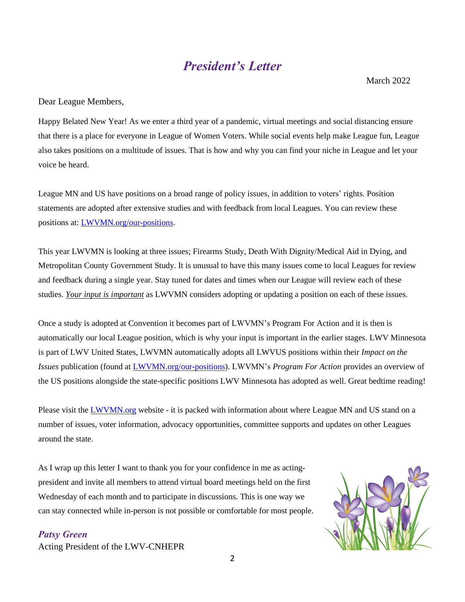## *President's Letter*

March 2022

Dear League Members,

Happy Belated New Year! As we enter a third year of a pandemic, virtual meetings and social distancing ensure that there is a place for everyone in League of Women Voters. While social events help make League fun, League also takes positions on a multitude of issues. That is how and why you can find your niche in League and let your voice be heard.

League MN and US have positions on a broad range of policy issues, in addition to voters' rights. Position statements are adopted after extensive studies and with feedback from local Leagues. You can review these positions at: [LWVMN.org/our-positions.](http://lwvmn.org/our-positions)

This year LWVMN is looking at three issues; Firearms Study, Death With Dignity/Medical Aid in Dying, and Metropolitan County Government Study. It is unusual to have this many issues come to local Leagues for review and feedback during a single year. Stay tuned for dates and times when our League will review each of these studies. *Your input is important* as LWVMN considers adopting or updating a position on each of these issues.

Once a study is adopted at Convention it becomes part of LWVMN's Program For Action and it is then is automatically our local League position, which is why your input is important in the earlier stages. LWV Minnesota is part of LWV United States, LWVMN automatically adopts all LWVUS positions within their *Impact on the Issues* publication (found at [LWVMN.org/our-positions\)](http://lwvmn.org/our-positions). LWVMN's *Program For Action* provides an overview of the US positions alongside the state-specific positions LWV Minnesota has adopted as well. Great bedtime reading!

Please visit the **LWVMN**.org website - it is packed with information about where League MN and US stand on a number of issues, voter information, advocacy opportunities, committee supports and updates on other Leagues around the state.

As I wrap up this letter I want to thank you for your confidence in me as actingpresident and invite all members to attend virtual board meetings held on the first Wednesday of each month and to participate in discussions. This is one way we can stay connected while in-person is not possible or comfortable for most people.

*Patsy Green* Acting President of the LWV-CNHEPR

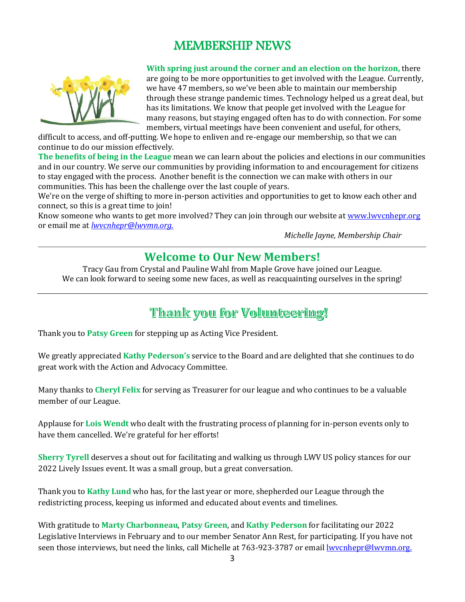## MEMBERSHIP NEWS



**With spring just around the corner and an election on the horizon,** there are going to be more opportunities to get involved with the League. Currently, we have 47 members, so we've been able to maintain our membership through these strange pandemic times. Technology helped us a great deal, but has its limitations. We know that people get involved with the League for many reasons, but staying engaged often has to do with connection. For some members, virtual meetings have been convenient and useful, for others,

difficult to access, and off-putting. We hope to enliven and re-engage our membership, so that we can continue to do our mission effectively.

**The benefits of being in the League** mean we can learn about the policies and elections in our communities and in our country. We serve our communities by providing information to and encouragement for citizens to stay engaged with the process. Another benefit is the connection we can make with others in our communities. This has been the challenge over the last couple of years.

We're on the verge of shifting to more in-person activities and opportunities to get to know each other and connect, so this is a great time to join!

Know someone who wants to get more involved? They can join through our website a[t www.lwvcnhepr.org](http://www.lwvcnhepr.org/) or email me at *[lwvcnhepr@lwvmn.org.](mailto:lwvcnhepr@lwvmn.org)*

*Michelle Jayne, Membership Chair*

## **Welcome to Our New Members!**

Tracy Gau from Crystal and Pauline Wahl from Maple Grove have joined our League. We can look forward to seeing some new faces, as well as reacquainting ourselves in the spring!

## Thank you for Volunteering!

Thank you to **Patsy Green** for stepping up as Acting Vice President.

We greatly appreciated **Kathy Pederson's** service to the Board and are delighted that she continues to do great work with the Action and Advocacy Committee.

Many thanks to **Cheryl Felix** for serving as Treasurer for our league and who continues to be a valuable member of our League.

Applause for **Lois Wendt** who dealt with the frustrating process of planning for in-person events only to have them cancelled. We're grateful for her efforts!

**Sherry Tyrell** deserves a shout out for facilitating and walking us through LWV US policy stances for our 2022 Lively Issues event. It was a small group, but a great conversation.

Thank you to **Kathy Lund** who has, for the last year or more, shepherded our League through the redistricting process, keeping us informed and educated about events and timelines.

With gratitude to **Marty Charbonneau**, **Patsy Green**, and **Kathy Pederson** for facilitating our 2022 Legislative Interviews in February and to our member Senator Ann Rest, for participating. If you have not seen those interviews, but need the links, call Michelle at 763-923-3787 or email lwycnhepr@lwymn.org.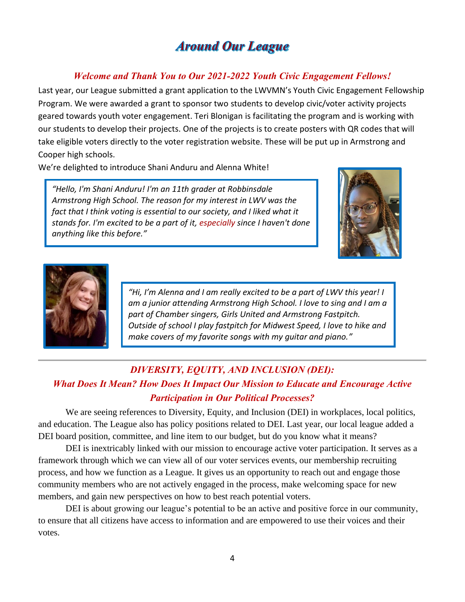## **Around Our League**

#### *Welcome and Thank You to Our 2021-2022 Youth Civic Engagement Fellows!*

Last year, our League submitted a grant application to the LWVMN's Youth Civic Engagement Fellowship Program. We were awarded a grant to sponsor two students to develop civic/voter activity projects geared towards youth voter engagement. Teri Blonigan is facilitating the program and is working with our students to develop their projects. One of the projects is to create posters with QR codes that will take eligible voters directly to the voter registration website. These will be put up in Armstrong and Cooper high schools.

We're delighted to introduce Shani Anduru and Alenna White!

*"Hello, I'm Shani Anduru! I'm an 11th grader at Robbinsdale Armstrong High School. The reason for my interest in LWV was the*  fact that I think voting is essential to our society, and I liked what it *stands for. I'm excited to be a part of it, especially since I haven't done anything like this before."*





*"Hi, I'm Alenna and I am really excited to be a part of LWV this year! I am a junior attending Armstrong High School. I love to sing and I am a part of Chamber singers, Girls United and Armstrong Fastpitch. Outside of school I play fastpitch for Midwest Speed, I love to hike and make covers of my favorite songs with my guitar and piano."*

### *DIVERSITY, EQUITY, AND INCLUSION (DEI): What Does It Mean? How Does It Impact Our Mission to Educate and Encourage Active Participation in Our Political Processes?*

We are seeing references to Diversity, Equity, and Inclusion (DEI) in workplaces, local politics, and education. The League also has policy positions related to DEI. Last year, our local league added a DEI board position, committee, and line item to our budget, but do you know what it means?

DEI is inextricably linked with our mission to encourage active voter participation. It serves as a framework through which we can view all of our voter services events, our membership recruiting process, and how we function as a League. It gives us an opportunity to reach out and engage those community members who are not actively engaged in the process, make welcoming space for new members, and gain new perspectives on how to best reach potential voters.

DEI is about growing our league's potential to be an active and positive force in our community, to ensure that all citizens have access to information and are empowered to use their voices and their votes.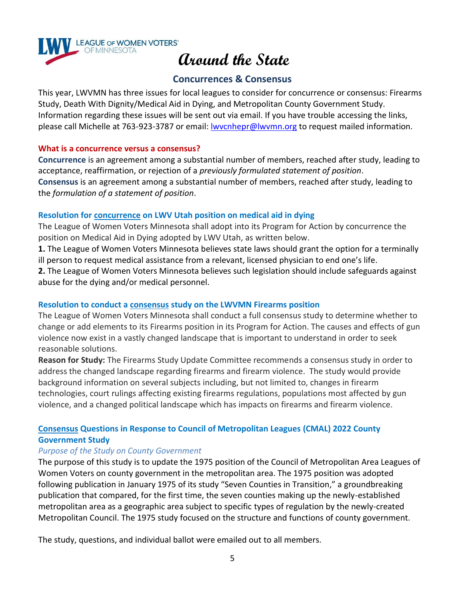

#### **Concurrences & Consensus**

This year, LWVMN has three issues for local leagues to consider for concurrence or consensus: Firearms Study, Death With Dignity/Medical Aid in Dying, and Metropolitan County Government Study. Information regarding these issues will be sent out via email. If you have trouble accessing the links, please call Michelle at 763-923-3787 or email: [lwvcnhepr@lwvmn.org](mailto:lwvcnhepr@lwvmn.org) to request mailed information.

#### **What is a concurrence versus a consensus?**

**Concurrence** is an agreement among a substantial number of members, reached after study, leading to acceptance, reaffirmation, or rejection of a *previously formulated statement of position*. **Consensus** is an agreement among a substantial number of members, reached after study, leading to the *formulation of a statement of position*.

#### **Resolution for concurrence on LWV Utah position on medical aid in dying**

The League of Women Voters Minnesota shall adopt into its Program for Action by concurrence the position on Medical Aid in Dying adopted by LWV Utah, as written below.

**1.** The League of Women Voters Minnesota believes state laws should grant the option for a terminally ill person to request medical assistance from a relevant, licensed physician to end one's life.

**2.** The League of Women Voters Minnesota believes such legislation should include safeguards against abuse for the dying and/or medical personnel.

#### **Resolution to conduct a consensus study on the LWVMN Firearms position**

The League of Women Voters Minnesota shall conduct a full consensus study to determine whether to change or add elements to its Firearms position in its Program for Action. The causes and effects of gun violence now exist in a vastly changed landscape that is important to understand in order to seek reasonable solutions.

**Reason for Study:** The Firearms Study Update Committee recommends a consensus study in order to address the changed landscape regarding firearms and firearm violence. The study would provide background information on several subjects including, but not limited to, changes in firearm technologies, court rulings affecting existing firearms regulations, populations most affected by gun violence, and a changed political landscape which has impacts on firearms and firearm violence.

#### **Consensus Questions in Response to Council of Metropolitan Leagues (CMAL) 2022 County Government Study**

#### *Purpose of the Study on County Government*

The purpose of this study is to update the 1975 position of the Council of Metropolitan Area Leagues of Women Voters on county government in the metropolitan area. The 1975 position was adopted following publication in January 1975 of its study "Seven Counties in Transition," a groundbreaking publication that compared, for the first time, the seven counties making up the newly-established metropolitan area as a geographic area subject to specific types of regulation by the newly-created Metropolitan Council. The 1975 study focused on the structure and functions of county government.

The study, questions, and individual ballot were emailed out to all members.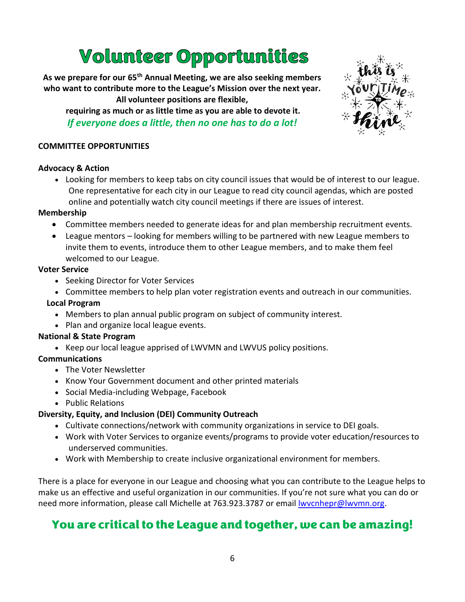## Volunteer Opportunities

**As we prepare for our 65th Annual Meeting, we are also seeking members who want to contribute more to the League's Mission over the next year. All volunteer positions are flexible,**

**requiring as much or as little time as you are able to devote it.**  *If everyone does a little, then no one has to do a lot!*



#### **COMMITTEE OPPORTUNITIES**

#### **Advocacy & Action**

• Looking for members to keep tabs on city council issues that would be of interest to our league. One representative for each city in our League to read city council agendas, which are posted online and potentially watch city council meetings if there are issues of interest.

#### **Membership**

- Committee members needed to generate ideas for and plan membership recruitment events.
- League mentors looking for members willing to be partnered with new League members to invite them to events, introduce them to other League members, and to make them feel welcomed to our League.

#### **Voter Service**

- Seeking Director for Voter Services
- Committee members to help plan voter registration events and outreach in our communities.

#### **Local Program**

- Members to plan annual public program on subject of community interest.
- Plan and organize local league events.

#### **National & State Program**

• Keep our local league apprised of LWVMN and LWVUS policy positions.

#### **Communications**

- The Voter Newsletter
- Know Your Government document and other printed materials
- Social Media-including Webpage, Facebook
- Public Relations

#### **Diversity, Equity, and Inclusion (DEI) Community Outreach**

- Cultivate connections/network with community organizations in service to DEI goals.
- Work with Voter Services to organize events/programs to provide voter education/resources to underserved communities.
- Work with Membership to create inclusive organizational environment for members.

There is a place for everyone in our League and choosing what you can contribute to the League helps to make us an effective and useful organization in our communities. If you're not sure what you can do or need more information, please call Michelle at 763.923.3787 or emai[l lwvcnhepr@lwvmn.org.](mailto:lwvcnhepr@lwvmn.org)

## You are critical to the League and together, we can be amazing!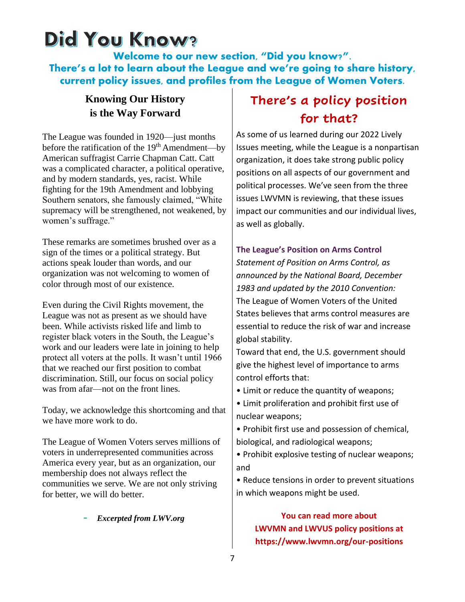## Did You Know?

Welcome to our new section, "Did you know?". There's a lot to learn about the League and we're going to share history, current policy issues, and profiles from the League of Women Voters.

### **Knowing Our History is the Way Forward**

The League was founded in 1920—just months before the ratification of the  $19<sup>th</sup>$  Amendment—by American suffragist Carrie Chapman Catt. Catt was a complicated character, a political operative, and by modern standards, yes, racist. While fighting for the 19th Amendment and lobbying Southern senators, she famously claimed, "White supremacy will be strengthened, not weakened, by women's suffrage."

These remarks are sometimes brushed over as a sign of the times or a political strategy. But actions speak louder than words, and our organization was not welcoming to women of color through most of our existence.

Even during the Civil Rights movement, the League was not as present as we should have been. While activists risked life and limb to register black voters in the South, the League's work and our leaders were late in joining to help protect all voters at the polls. It wasn't until 1966 that we reached our first position to combat discrimination. Still, our focus on social policy was from afar—not on the front lines.

Today, we acknowledge this shortcoming and that we have more work to do.

The League of Women Voters serves millions of voters in underrepresented communities across America every year, but as an organization, our membership does not always reflect the communities we serve. We are not only striving for better, we will do better.

- *Excerpted from LWV.org* 

## **There's a policy position for that?**

As some of us learned during our 2022 Lively Issues meeting, while the League is a nonpartisan organization, it does take strong public policy positions on all aspects of our government and political processes. We've seen from the three issues LWVMN is reviewing, that these issues impact our communities and our individual lives, as well as globally.

#### **The League's Position on Arms Control**

*Statement of Position on Arms Control, as announced by the National Board, December 1983 and updated by the 2010 Convention:* The League of Women Voters of the United States believes that arms control measures are essential to reduce the risk of war and increase global stability.

Toward that end, the U.S. government should give the highest level of importance to arms control efforts that:

- Limit or reduce the quantity of weapons;
- Limit proliferation and prohibit first use of nuclear weapons;
- Prohibit first use and possession of chemical, biological, and radiological weapons;
- Prohibit explosive testing of nuclear weapons; and

• Reduce tensions in order to prevent situations in which weapons might be used.

> **You can read more about LWVMN and LWVUS policy positions at https://www.lwvmn.org/our-positions**